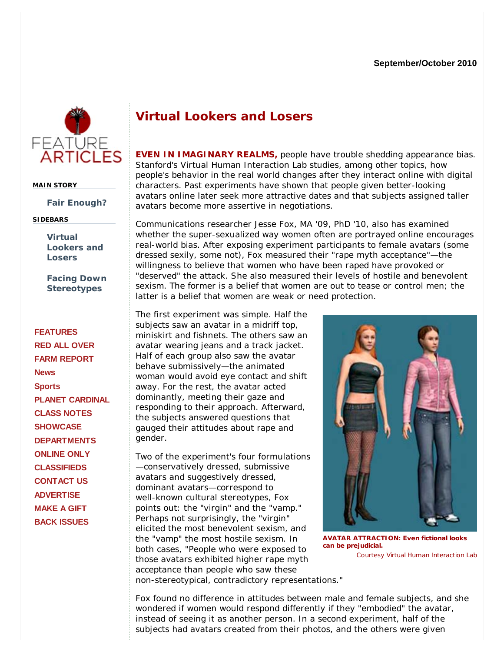## **Virtual Lookers and Losers**

**EVEN IN IMAGINARY REALMS,** people have trouble shedding appearance bias. Stanford's Virtual Human Interaction Lab studies, among other topics, how people's behavior in the real world changes after they interact online with digital characters. Past experiments have shown that people given better-looking avatars online later seek more attractive dates and that subjects assigned taller avatars become more assertive in negotiations.

Communications researcher Jesse Fox, MA '09, PhD '10, also has examined whether the super-sexualized way women often are portrayed online encourages real-world bias. After exposing experiment participants to female avatars (some dressed sexily, some not), Fox measured their "rape myth acceptance"—the willingness to believe that women who have been raped have provoked or "deserved" the attack. She also measured their levels of hostile and benevolent sexism. The former is a belief that women are out to tease or control men; the latter is a belief that women are weak or need protection.

The first experiment was simple. Half the subjects saw an avatar in a midriff top. miniskirt and fishnets. The others saw an avatar wearing jeans and a track jacket. Half of each group also saw the avatar behave submissively—the animated woman would avoid eye contact and shift away. For the rest, the avatar acted dominantly, meeting their gaze and responding to their approach. Afterward, the subjects answered questions that gauged their attitudes about rape and gender.

Two of the experiment's four formulations —conservatively dressed, submissive avatars and suggestively dressed, dominant avatars—correspond to well-known cultural stereotypes, Fox points out: the "virgin" and the "vamp." Perhaps not surprisingly, the "virgin" elicited the most benevolent sexism, and the "vamp" the most hostile sexism. In both cases, "People who were exposed to those avatars exhibited higher rape myth acceptance than people who saw these



Courtesy Virtual Human Interaction Lab **AVATAR ATTRACTION: Even fictional looks can be prejudicial.**

non-stereotypical, contradictory representations."

Fox found no difference in attitudes between male and female subjects, and she wondered if women would respond differently if they "embodied" the avatar, instead of seeing it as another person. In a second experiment, half of the subjects had avatars created from their photos, and the others were given